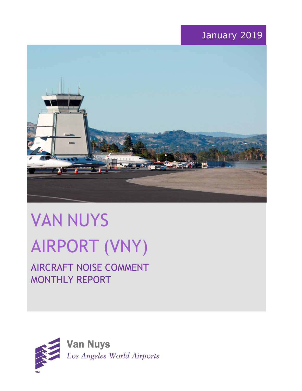# January 2019



# VAN NUYS AIRPORT (VNY)

# AIRCRAFT NOISE COMMENT MONTHLY REPORT

![](_page_0_Picture_4.jpeg)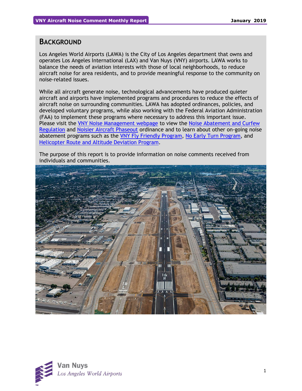## **BACKGROUND**

Los Angeles World Airports (LAWA) is the City of Los Angeles department that owns and operates Los Angeles International (LAX) and Van Nuys (VNY) airports. LAWA works to balance the needs of aviation interests with those of local neighborhoods, to reduce aircraft noise for area residents, and to provide meaningful response to the community on noise-related issues.

While all aircraft generate noise, technological advancements have produced quieter aircraft and airports have implemented programs and procedures to reduce the effects of aircraft noise on surrounding communities. LAWA has adopted ordinances, policies, and developed voluntary programs, while also working with the Federal Aviation Administration (FAA) to implement these programs where necessary to address this important issue. Please visit the [VNY Noise Management webpage](http://www.lawa.org/VNYNoise) to view the [Noise Abatement and Curfew](https://www.lawa.org/-/media/lawa-web/tenants411/file/noise_programs.ashx?la=en&hash=86DDE7D9764689AC37E24CD4FAA33C7FE9FC8DA1#"page=7" )  [Regulation](https://www.lawa.org/-/media/lawa-web/tenants411/file/noise_programs.ashx?la=en&hash=86DDE7D9764689AC37E24CD4FAA33C7FE9FC8DA1#"page=7" ) and [Noisier Aircraft Phaseout](https://www.lawa.org/-/media/lawa-web/tenants411/file/noise_programs.ashx?la=en&hash=86DDE7D9764689AC37E24CD4FAA33C7FE9FC8DA1#page=7) ordinance and to learn about other on-going noise abatement programs such as the [VNY Fly Friendly Program,](https://www.lawa.org/en/lawa-environment/noise-management/van-nuys/vny-fly-friendly-quiet-departure-program) [No Early Turn Program,](https://prodcd.iflyvny.com/en/no-early-turn) and [Helicopter Route and Altitude Deviation Program.](https://www.lawa.org/-/media/lawa-web/tenants411/file/noise_programs.ashx?la=en&hash=86DDE7D9764689AC37E24CD4FAA33C7FE9FC8DA1#"page=8")

The purpose of this report is to provide information on noise comments received from individuals and communities.

![](_page_1_Picture_6.jpeg)

![](_page_1_Picture_7.jpeg)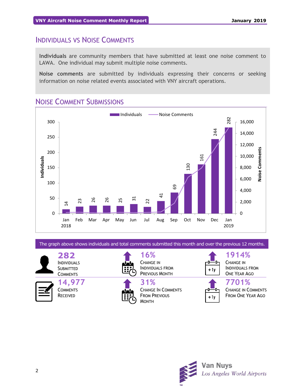## INDIVIDUALS VS NOISE COMMENTS

**Individuals** are community members that have submitted at least one noise comment to LAWA. One individual may submit multiple noise comments.

**Noise comments** are submitted by individuals expressing their concerns or seeking information on noise related events associated with VNY aircraft operations.

## NOISE COMMENT SUBMISSIONS

![](_page_2_Figure_6.jpeg)

The graph above shows individuals and total comments submitted this month and over the previous 12 months.

**282** INDIVIDUALS

**SUBMITTED COMMENTS 14,977**

**COMMENTS** RECEIVED

![](_page_2_Picture_11.jpeg)

**16%** CHANGE IN INDIVIDUALS FROM PREVIOUS MONTH

![](_page_2_Picture_13.jpeg)

+ 1y

**1914%** CHANGE IN INDIVIDUALS FROM ONE YEAR AGO

![](_page_2_Picture_16.jpeg)

**7701%** CHANGE IN COMMENTS FROM ONE YEAR AGO

![](_page_2_Picture_18.jpeg)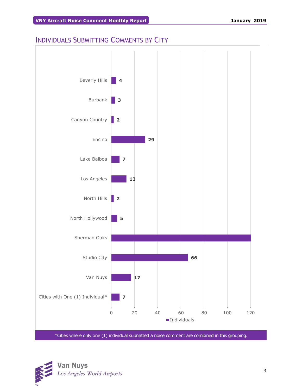## INDIVIDUALS SUBMITTING COMMENTS BY CITY

![](_page_3_Figure_3.jpeg)

![](_page_3_Picture_4.jpeg)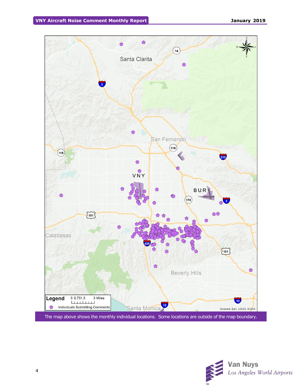![](_page_4_Figure_2.jpeg)

![](_page_4_Picture_3.jpeg)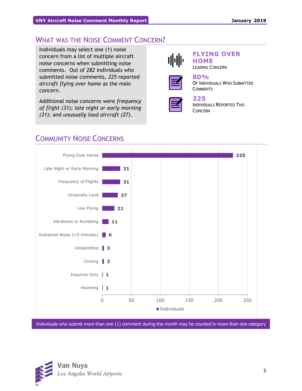## WHAT WAS THE NOISE COMMENT CONCERN?

Individuals may select one (1) noise concern from a list of multiple aircraft noise concerns when submitting noise comments. Out of *282* individuals who submitted noise comments, *225* reported *aircraft flying over home* as the main concern.

Additional noise concerns were *frequency of flight (31); late night or early morning (31);* and *unusually loud aircraft (27)*.

![](_page_5_Picture_5.jpeg)

## **FLYING OVER HOME**

LEADING CONCERN

![](_page_5_Picture_8.jpeg)

#### **80%** OF INDIVIDUALS WHO SUBMITTED **COMMENTS**

![](_page_5_Picture_10.jpeg)

## **225**

INDIVIDUALS REPORTED THIS CONCERN

## COMMUNITY NOISE CONCERNS

![](_page_5_Figure_14.jpeg)

Individuals who submit more than one (1) comment during the month may be counted in more than one category

![](_page_5_Picture_16.jpeg)